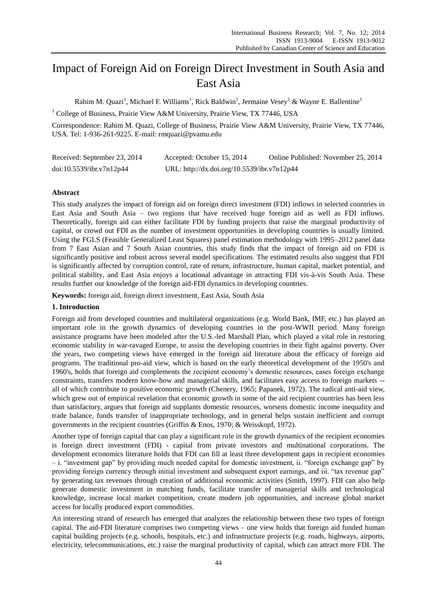# Impact of Foreign Aid on Foreign Direct Investment in South Asia and East Asia

Rahim M. Quazi<sup>1</sup>, Michael F. Williams<sup>1</sup>, Rick Baldwin<sup>1</sup>, Jermaine Vesey<sup>1</sup> & Wayne E. Ballentine<sup>1</sup>

 $1$  College of Business, Prairie View A&M University, Prairie View, TX 77446, USA

Correspondence: Rahim M. Quazi, College of Business, Prairie View A&M University, Prairie View, TX 77446, USA. Tel: 1-936-261-9225. E-mail: rmquazi@pvamu.edu

| Received: September 23, 2014 | Accepted: October 15, 2014                  | Online Published: November 25, 2014 |
|------------------------------|---------------------------------------------|-------------------------------------|
| doi:10.5539/ibr.v7n12p44     | URL: http://dx.doi.org/10.5539/ibr.v7n12p44 |                                     |

# **Abstract**

This study analyzes the impact of foreign aid on foreign direct investment (FDI) inflows in selected countries in East Asia and South Asia – two regions that have received huge foreign aid as well as FDI inflows. Theoretically, foreign aid can either facilitate FDI by funding projects that raise the marginal productivity of capital, or crowd out FDI as the number of investment opportunities in developing countries is usually limited. Using the FGLS (Feasible Generalized Least Squares) panel estimation methodology with 1995–2012 panel data from 7 East Asian and 7 South Asian countries, this study finds that the impact of foreign aid on FDI is significantly positive and robust across several model specifications. The estimated results also suggest that FDI is significantly affected by corruption control, rate of return, infrastructure, human capital, market potential, and political stability, and East Asia enjoys a locational advantage in attracting FDI vis-à-vis South Asia. These results further our knowledge of the foreign aid-FDI dynamics in developing countries.

**Keywords:** foreign aid, foreign direct investment, East Asia, South Asia

# **1. Introduction**

Foreign aid from developed countries and multilateral organizations (e.g. World Bank, IMF, etc.) has played an important role in the growth dynamics of developing countries in the post-WWII period. Many foreign assistance programs have been modeled after the U.S.-led Marshall Plan, which played a vital role in restoring economic stability in war-ravaged Europe, to assist the developing countries in their fight against poverty. Over the years, two competing views have emerged in the foreign aid literature about the efficacy of foreign aid programs. The traditional pro-aid view, which is based on the early theoretical development of the 1950's and 1960's, holds that foreign aid complements the recipient economy's domestic resources, eases foreign exchange constraints, transfers modern know-how and managerial skills, and facilitates easy access to foreign markets - all of which contribute to positive economic growth (Chenery, 1965; Papanek, 1972). The radical anti-aid view, which grew out of empirical revelation that economic growth in some of the aid recipient countries has been less than satisfactory, argues that foreign aid supplants domestic resources, worsens domestic income inequality and trade balance, funds transfer of inappropriate technology, and in general helps sustain inefficient and corrupt governments in the recipient countries (Griffin & Enos, 1970; & Weisskopf, 1972).

Another type of foreign capital that can play a significant role in the growth dynamics of the recipient economies is foreign direct investment (FDI) - capital from private investors and multinational corporations. The development economics literature holds that FDI can fill at least three development gaps in recipient economies – i. "investment gap" by providing much needed capital for domestic investment, ii. "foreign exchange gap" by providing foreign currency through initial investment and subsequent export earnings, and iii. "tax revenue gap" by generating tax revenues through creation of additional economic activities (Smith, 1997). FDI can also help generate domestic investment in matching funds, facilitate transfer of managerial skills and technological knowledge, increase local market competition, create modern job opportunities, and increase global market access for locally produced export commodities.

An interesting strand of research has emerged that analyzes the relationship between these two types of foreign capital. The aid-FDI literature comprises two competing views – one view holds that foreign aid funded human capital building projects (e.g. schools, hospitals, etc.) and infrastructure projects (e.g. roads, highways, airports, electricity, telecommunications, etc.) raise the marginal productivity of capital, which can attract more FDI. The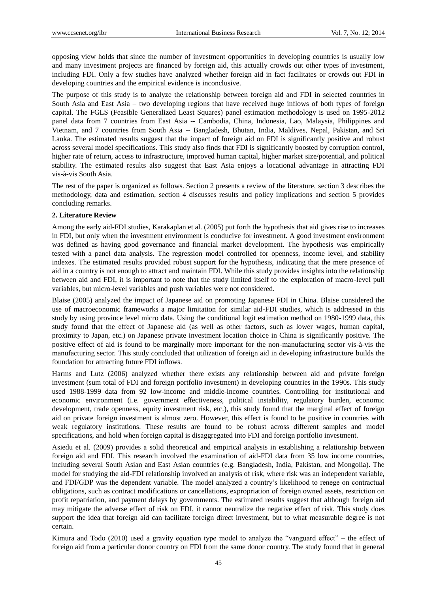opposing view holds that since the number of investment opportunities in developing countries is usually low and many investment projects are financed by foreign aid, this actually crowds out other types of investment, including FDI. Only a few studies have analyzed whether foreign aid in fact facilitates or crowds out FDI in developing countries and the empirical evidence is inconclusive.

The purpose of this study is to analyze the relationship between foreign aid and FDI in selected countries in South Asia and East Asia – two developing regions that have received huge inflows of both types of foreign capital. The FGLS (Feasible Generalized Least Squares) panel estimation methodology is used on 1995-2012 panel data from 7 countries from East Asia -- Cambodia, China, Indonesia, Lao, Malaysia, Philippines and Vietnam, and 7 countries from South Asia -- Bangladesh, Bhutan, India, Maldives, Nepal, Pakistan, and Sri Lanka. The estimated results suggest that the impact of foreign aid on FDI is significantly positive and robust across several model specifications. This study also finds that FDI is significantly boosted by corruption control, higher rate of return, access to infrastructure, improved human capital, higher market size/potential, and political stability. The estimated results also suggest that East Asia enjoys a locational advantage in attracting FDI vis-à-vis South Asia.

The rest of the paper is organized as follows. Section 2 presents a review of the literature, section 3 describes the methodology, data and estimation, section 4 discusses results and policy implications and section 5 provides concluding remarks.

# **2. Literature Review**

Among the early aid-FDI studies, Karakaplan et al. (2005) put forth the hypothesis that aid gives rise to increases in FDI, but only when the investment environment is conducive for investment. A good investment environment was defined as having good governance and financial market development. The hypothesis was empirically tested with a panel data analysis. The regression model controlled for openness, income level, and stability indexes. The estimated results provided robust support for the hypothesis, indicating that the mere presence of aid in a country is not enough to attract and maintain FDI. While this study provides insights into the relationship between aid and FDI, it is important to note that the study limited itself to the exploration of macro-level pull variables, but micro-level variables and push variables were not considered.

Blaise (2005) analyzed the impact of Japanese aid on promoting Japanese FDI in China. Blaise considered the use of macroeconomic frameworks a major limitation for similar aid-FDI studies, which is addressed in this study by using province level micro data. Using the conditional logit estimation method on 1980-1999 data, this study found that the effect of Japanese aid (as well as other factors, such as lower wages, human capital, proximity to Japan, etc.) on Japanese private investment location choice in China is significantly positive. The positive effect of aid is found to be marginally more important for the non-manufacturing sector vis-à-vis the manufacturing sector. This study concluded that utilization of foreign aid in developing infrastructure builds the foundation for attracting future FDI inflows.

Harms and Lutz (2006) analyzed whether there exists any relationship between aid and private foreign investment (sum total of FDI and foreign portfolio investment) in developing countries in the 1990s. This study used 1988-1999 data from 92 low-income and middle-income countries. Controlling for institutional and economic environment (i.e. government effectiveness, political instability, regulatory burden, economic development, trade openness, equity investment risk, etc.), this study found that the marginal effect of foreign aid on private foreign investment is almost zero. However, this effect is found to be positive in countries with weak regulatory institutions. These results are found to be robust across different samples and model specifications, and hold when foreign capital is disaggregated into FDI and foreign portfolio investment.

Asiedu et al. (2009) provides a solid theoretical and empirical analysis in establishing a relationship between foreign aid and FDI. This research involved the examination of aid-FDI data from 35 low income countries, including several South Asian and East Asian countries (e.g. Bangladesh, India, Pakistan, and Mongolia). The model for studying the aid-FDI relationship involved an analysis of risk, where risk was an independent variable, and FDI/GDP was the dependent variable. The model analyzed a country's likelihood to renege on contractual obligations, such as contract modifications or cancellations, expropriation of foreign owned assets, restriction on profit repatriation, and payment delays by governments. The estimated results suggest that although foreign aid may mitigate the adverse effect of risk on FDI, it cannot neutralize the negative effect of risk. This study does support the idea that foreign aid can facilitate foreign direct investment, but to what measurable degree is not certain.

Kimura and Todo (2010) used a gravity equation type model to analyze the "vanguard effect" – the effect of foreign aid from a particular donor country on FDI from the same donor country. The study found that in general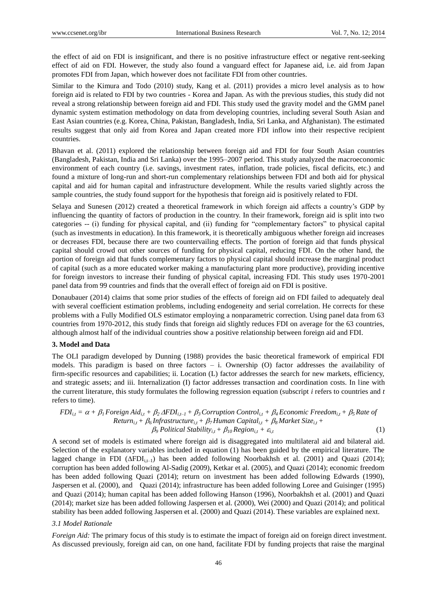the effect of aid on FDI is insignificant, and there is no positive infrastructure effect or negative rent-seeking effect of aid on FDI. However, the study also found a vanguard effect for Japanese aid, i.e. aid from Japan promotes FDI from Japan, which however does not facilitate FDI from other countries.

Similar to the Kimura and Todo (2010) study, Kang et al. (2011) provides a micro level analysis as to how foreign aid is related to FDI by two countries - Korea and Japan. As with the previous studies, this study did not reveal a strong relationship between foreign aid and FDI. This study used the gravity model and the GMM panel dynamic system estimation methodology on data from developing countries, including several South Asian and East Asian countries (e.g. Korea, China, Pakistan, Bangladesh, India, Sri Lanka, and Afghanistan). The estimated results suggest that only aid from Korea and Japan created more FDI inflow into their respective recipient countries.

Bhavan et al. (2011) explored the relationship between foreign aid and FDI for four South Asian countries (Bangladesh, Pakistan, India and Sri Lanka) over the 1995–2007 period. This study analyzed the macroeconomic environment of each country (i.e. savings, investment rates, inflation, trade policies, fiscal deficits, etc.) and found a mixture of long-run and short-run complementary relationships between FDI and both aid for physical capital and aid for human capital and infrastructure development. While the results varied slightly across the sample countries, the study found support for the hypothesis that foreign aid is positively related to FDI.

Selaya and Sunesen (2012) created a theoretical framework in which foreign aid affects a country's GDP by influencing the quantity of factors of production in the country. In their framework, foreign aid is split into two categories -- (i) funding for physical capital, and (ii) funding for "complementary factors" to physical capital (such as investments in education). In this framework, it is theoretically ambiguous whether foreign aid increases or decreases FDI, because there are two countervailing effects. The portion of foreign aid that funds physical capital should crowd out other sources of funding for physical capital, reducing FDI. On the other hand, the portion of foreign aid that funds complementary factors to physical capital should increase the marginal product of capital (such as a more educated worker making a manufacturing plant more productive), providing incentive for foreign investors to increase their funding of physical capital, increasing FDI. This study uses 1970-2001 panel data from 99 countries and finds that the overall effect of foreign aid on FDI is positive.

Donaubauer (2014) claims that some prior studies of the effects of foreign aid on FDI failed to adequately deal with several coefficient estimation problems, including endogeneity and serial correlation. He corrects for these problems with a Fully Modified OLS estimator employing a nonparametric correction. Using panel data from 63 countries from 1970-2012, this study finds that foreign aid slightly reduces FDI on average for the 63 countries, although almost half of the individual countries show a positive relationship between foreign aid and FDI.

## **3. Model and Data**

The OLI paradigm developed by Dunning (1988) provides the basic theoretical framework of empirical FDI models. This paradigm is based on three factors  $-$  i. Ownership (O) factor addresses the availability of firm-specific resources and capabilities; ii. Location (L) factor addresses the search for new markets, efficiency, and strategic assets; and iii. Internalization (I) factor addresses transaction and coordination costs. In line with the current literature, this study formulates the following regression equation (subscript *i* refers to countries and *t* refers to time).

 $FDI_{i,t} = \alpha + \beta_1$  Foreign Aid<sub>it</sub> +  $\beta_2$  AFDI<sub>it-1</sub> +  $\beta_3$  Corruption Control<sub>it</sub> +  $\beta_4$  Economic Freedom<sub>it</sub> +  $\beta_5$  Rate of *Return*<sub>*i,t</sub>* +  $\beta_6$ *Infrastructure*<sub>*i,t*</sub> +  $\beta_7$ *Human Capital<sub><i>i,t*</sub></sub> +  $\beta_8$ *Market Size*<sub>*i,t*</sub> +</sub>  $\beta_9$  *Political Stability*<sub>*it*</sub> +  $\beta_{10}$  *Region*<sub>*it*</sub> +  $\varepsilon_{i,t}$  (1)

A second set of models is estimated where foreign aid is disaggregated into multilateral aid and bilateral aid. Selection of the explanatory variables included in equation (1) has been guided by the empirical literature. The lagged change in FDI ( $\Delta$ FDI<sub>i,t-1</sub>) has been added following Noorbakhsh et al. (2001) and Quazi (2014); corruption has been added following Al-Sadig (2009), Ketkar et al. (2005), and Quazi (2014); economic freedom has been added following Quazi (2014); return on investment has been added following Edwards (1990), Jaspersen et al. (2000), and Quazi (2014); infrastructure has been added following Loree and Guisinger (1995) and Quazi (2014); human capital has been added following Hanson (1996), Noorbakhsh et al. (2001) and Quazi (2014); market size has been added following Jaspersen et al. (2000), Wei (2000) and Quazi (2014); and political stability has been added following Jaspersen et al. (2000) and Quazi (2014). These variables are explained next.

#### *3.1 Model Rationale*

*Foreign Aid:* The primary focus of this study is to estimate the impact of foreign aid on foreign direct investment. As discussed previously, foreign aid can, on one hand, facilitate FDI by funding projects that raise the marginal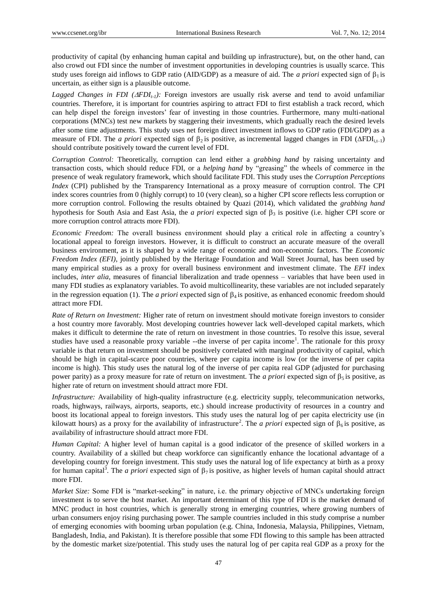productivity of capital (by enhancing human capital and building up infrastructure), but, on the other hand, can also crowd out FDI since the number of investment opportunities in developing countries is usually scarce. This study uses foreign aid inflows to GDP ratio (AID/GDP) as a measure of aid. The *a priori* expected sign of  $\beta_1$  is uncertain, as either sign is a plausible outcome.

*Lagged Changes in FDI (* $\Delta FDI_{t-1}$ *):* Foreign investors are usually risk averse and tend to avoid unfamiliar countries. Therefore, it is important for countries aspiring to attract FDI to first establish a track record, which can help dispel the foreign investors' fear of investing in those countries. Furthermore, many multi-national corporations (MNCs) test new markets by staggering their investments, which gradually reach the desired levels after some time adjustments. This study uses net foreign direct investment inflows to GDP ratio (FDI/GDP) as a measure of FDI. The *a priori* expected sign of  $\beta_2$  is positive, as incremental lagged changes in FDI ( $\Delta$ FDI<sub>i,t-1</sub>) should contribute positively toward the current level of FDI.

*Corruption Control:* Theoretically, corruption can lend either a *grabbing hand* by raising uncertainty and transaction costs, which should reduce FDI, or a *helping hand* by "greasing" the wheels of commerce in the presence of weak regulatory framework, which should facilitate FDI. This study uses the *Corruption Perceptions Index* (CPI) published by the Transparency International as a proxy measure of corruption control. The CPI index scores countries from 0 (highly corrupt) to 10 (very clean), so a higher CPI score reflects less corruption or more corruption control. Following the results obtained by Quazi (2014), which validated the *grabbing hand* hypothesis for South Asia and East Asia, the *a priori* expected sign of  $\beta_3$  is positive (i.e. higher CPI score or more corruption control attracts more FDI).

*Economic Freedom:* The overall business environment should play a critical role in affecting a country's locational appeal to foreign investors. However, it is difficult to construct an accurate measure of the overall business environment, as it is shaped by a wide range of economic and non-economic factors. The *Economic Freedom Index (EFI)*, jointly published by the Heritage Foundation and Wall Street Journal, has been used by many empirical studies as a proxy for overall business environment and investment climate. The *EFI* index includes, *inter alia*, measures of financial liberalization and trade openness – variables that have been used in many FDI studies as explanatory variables. To avoid multicollinearity, these variables are not included separately in the regression equation (1). The *a priori* expected sign of  $\beta_4$  is positive, as enhanced economic freedom should attract more FDI.

*Rate of Return on Investment:* Higher rate of return on investment should motivate foreign investors to consider a host country more favorably. Most developing countries however lack well-developed capital markets, which makes it difficult to determine the rate of return on investment in those countries. To resolve this issue, several studies have used a reasonable proxy variable --the inverse of per capita income<sup>1</sup>. The rationale for this proxy variable is that return on investment should be positively correlated with marginal productivity of capital, which should be high in capital-scarce poor countries, where per capita income is low (or the inverse of per capita income is high). This study uses the natural log of the inverse of per capita real GDP (adjusted for purchasing power parity) as a proxy measure for rate of return on investment. The *a priori* expected sign of  $\beta_5$  is positive, as higher rate of return on investment should attract more FDI.

*Infrastructure:* Availability of high-quality infrastructure (e.g. electricity supply, telecommunication networks, roads, highways, railways, airports, seaports, etc.) should increase productivity of resources in a country and boost its locational appeal to foreign investors. This study uses the natural log of per capita electricity use (in kilowatt hours) as a proxy for the availability of infrastructure<sup>2</sup>. The *a priori* expected sign of  $\beta_6$  is positive, as availability of infrastructure should attract more FDI.

*Human Capital:* A higher level of human capital is a good indicator of the presence of skilled workers in a country. Availability of a skilled but cheap workforce can significantly enhance the locational advantage of a developing country for foreign investment. This study uses the natural log of life expectancy at birth as a proxy for human capital<sup>3</sup>. The *a priori* expected sign of  $\beta_7$  is positive, as higher levels of human capital should attract more FDI.

*Market Size:* Some FDI is "market-seeking" in nature, i.e. the primary objective of MNCs undertaking foreign investment is to serve the host market. An important determinant of this type of FDI is the market demand of MNC product in host countries, which is generally strong in emerging countries, where growing numbers of urban consumers enjoy rising purchasing power. The sample countries included in this study comprise a number of emerging economies with booming urban population (e.g. China, Indonesia, Malaysia, Philippines, Vietnam, Bangladesh, India, and Pakistan). It is therefore possible that some FDI flowing to this sample has been attracted by the domestic market size/potential. This study uses the natural log of per capita real GDP as a proxy for the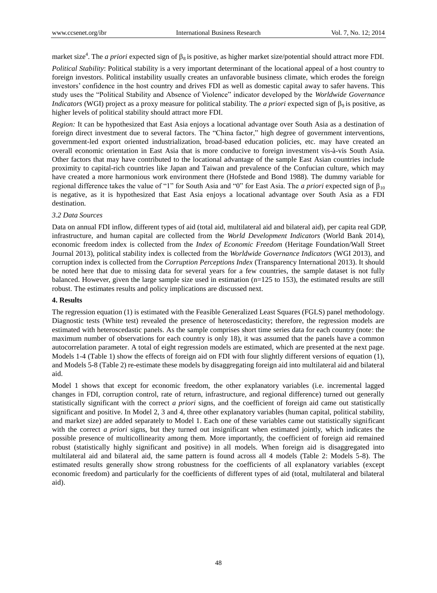market size<sup>4</sup>. The *a priori* expected sign of  $\beta_8$  is positive, as higher market size/potential should attract more FDI.

*Political Stability*: Political stability is a very important determinant of the locational appeal of a host country to foreign investors. Political instability usually creates an unfavorable business climate, which erodes the foreign investors' confidence in the host country and drives FDI as well as domestic capital away to safer havens. This study uses the "Political Stability and Absence of Violence" indicator developed by the *Worldwide Governance Indicators* (WGI) project as a proxy measure for political stability. The *a priori* expected sign of  $\beta_9$  is positive, as higher levels of political stability should attract more FDI.

*Region:* It can be hypothesized that East Asia enjoys a locational advantage over South Asia as a destination of foreign direct investment due to several factors. The "China factor," high degree of government interventions, government-led export oriented industrialization, broad-based education policies, etc. may have created an overall economic orientation in East Asia that is more conducive to foreign investment vis-à-vis South Asia. Other factors that may have contributed to the locational advantage of the sample East Asian countries include proximity to capital-rich countries like Japan and Taiwan and prevalence of the Confucian culture, which may have created a more harmonious work environment there (Hofstede and Bond 1988). The dummy variable for regional difference takes the value of "1" for South Asia and "0" for East Asia. The *a priori* expected sign of  $\beta_{10}$ is negative, as it is hypothesized that East Asia enjoys a locational advantage over South Asia as a FDI destination.

## *3.2 Data Sources*

Data on annual FDI inflow, different types of aid (total aid, multilateral aid and bilateral aid), per capita real GDP, infrastructure, and human capital are collected from the *World Development Indicators* (World Bank 2014), economic freedom index is collected from the *Index of Economic Freedom* (Heritage Foundation/Wall Street Journal 2013), political stability index is collected from the *Worldwide Governance Indicators* (WGI 2013), and corruption index is collected from the *Corruption Perceptions Index* (Transparency International 2013). It should be noted here that due to missing data for several years for a few countries, the sample dataset is not fully balanced. However, given the large sample size used in estimation (n=125 to 153), the estimated results are still robust. The estimates results and policy implications are discussed next.

### **4. Results**

The regression equation (1) is estimated with the Feasible Generalized Least Squares (FGLS) panel methodology. Diagnostic tests (White test) revealed the presence of heteroscedasticity; therefore, the regression models are estimated with heteroscedastic panels. As the sample comprises short time series data for each country (note: the maximum number of observations for each country is only 18), it was assumed that the panels have a common autocorrelation parameter. A total of eight regression models are estimated, which are presented at the next page. Models 1-4 (Table 1) show the effects of foreign aid on FDI with four slightly different versions of equation (1), and Models 5-8 (Table 2) re-estimate these models by disaggregating foreign aid into multilateral aid and bilateral aid.

Model 1 shows that except for economic freedom, the other explanatory variables (i.e. incremental lagged changes in FDI, corruption control, rate of return, infrastructure, and regional difference) turned out generally statistically significant with the correct *a priori* signs, and the coefficient of foreign aid came out statistically significant and positive. In Model 2, 3 and 4, three other explanatory variables (human capital, political stability, and market size) are added separately to Model 1. Each one of these variables came out statistically significant with the correct *a priori* signs, but they turned out insignificant when estimated jointly, which indicates the possible presence of multicollinearity among them. More importantly, the coefficient of foreign aid remained robust (statistically highly significant and positive) in all models. When foreign aid is disaggregated into multilateral aid and bilateral aid, the same pattern is found across all 4 models (Table 2: Models 5-8). The estimated results generally show strong robustness for the coefficients of all explanatory variables (except economic freedom) and particularly for the coefficients of different types of aid (total, multilateral and bilateral aid).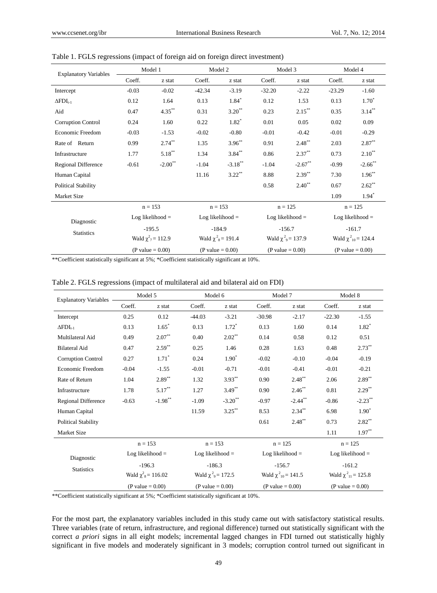| <b>Explanatory Variables</b>    | Model 1                            |           | Model 2                            |             | Model 3                            |             | Model 4                    |             |
|---------------------------------|------------------------------------|-----------|------------------------------------|-------------|------------------------------------|-------------|----------------------------|-------------|
|                                 | Coeff.                             | z stat    | Coeff.                             | z stat      | Coeff.                             | z stat      | Coeff.                     | z stat      |
| Intercept                       | $-0.03$                            | $-0.02$   | $-42.34$                           | $-3.19$     | $-32.20$                           | $-2.22$     | $-23.29$                   | $-1.60$     |
| $\Delta$ FDI <sub>t-1</sub>     | 0.12                               | 1.64      | 0.13                               | $1.84*$     | 0.12                               | 1.53        | 0.13                       | $1.70^*$    |
| Aid                             | 0.47                               | $4.35***$ | 0.31                               | $3.20**$    | 0.23                               | $2.15***$   | 0.35                       | $3.14***$   |
| <b>Corruption Control</b>       | 0.24                               | 1.60      | 0.22                               | $1.82*$     | 0.01                               | 0.05        | 0.02                       | 0.09        |
| Economic Freedom                | $-0.03$                            | $-1.53$   | $-0.02$                            | $-0.80$     | $-0.01$                            | $-0.42$     | $-0.01$                    | $-0.29$     |
| Rate of Return                  | 0.99                               | $2.74***$ | 1.35                               | $3.96^{**}$ | 0.91                               | $2.48**$    | 2.03                       | $2.87**$    |
| Infrastructure                  | 1.77                               | $5.18***$ | 1.34                               | $3.84***$   | 0.86                               | $2.37***$   | 0.73                       | $2.10^{**}$ |
| <b>Regional Difference</b>      | $-0.61$                            | $-2.00**$ | $-1.04$                            | $-3.18***$  | $-1.04$                            | $-2.67**$   | $-0.99$                    | $-2.66$ **  |
| Human Capital                   |                                    |           | 11.16                              | $3.22***$   | 8.88                               | $2.39^{**}$ | 7.30                       | $1.96**$    |
| <b>Political Stability</b>      |                                    |           |                                    |             | 0.58                               | $2.40**$    | 0.67                       | $2.62**$    |
| Market Size                     |                                    |           |                                    |             |                                    |             | 1.09                       | $1.94*$     |
| Diagnostic<br><b>Statistics</b> | $n = 153$                          |           | $n = 153$                          |             | $n = 125$                          |             | $n = 125$                  |             |
|                                 | Log likelihood $=$                 |           | Log likelihood $=$                 |             | Log likelihood $=$                 |             | Log likelihood $=$         |             |
|                                 | $-195.5$                           |           | $-184.9$                           |             | $-156.7$                           |             | $-161.7$                   |             |
|                                 | Wald $\chi^2$ <sub>7</sub> = 112.9 |           | Wald $\chi^2$ <sub>8</sub> = 191.4 |             | Wald $\chi^2$ <sub>9</sub> = 137.9 |             | Wald $\chi^2_{10} = 124.4$ |             |
|                                 | $(P value = 0.00)$                 |           | $(P value = 0.00)$                 |             | $(P value = 0.00)$                 |             | $(P value = 0.00)$         |             |

Table 1. FGLS regressions (impact of foreign aid on foreign direct investment)

\*\*Coefficient statistically significant at 5%; \*Coefficient statistically significant at 10%.

Table 2. FGLS regressions (impact of multilateral aid and bilateral aid on FDI)

| <b>Explanatory Variables</b>    | Model 5                             |                    |                                    | Model 6            |                            | Model 7               |                            | Model 8    |  |
|---------------------------------|-------------------------------------|--------------------|------------------------------------|--------------------|----------------------------|-----------------------|----------------------------|------------|--|
|                                 | Coeff.                              | z stat             | Coeff.                             | z stat             | Coeff.                     | z stat                | Coeff.                     | z stat     |  |
| Intercept                       | 0.25                                | 0.12               | $-44.03$                           | $-3.21$            | $-30.98$                   | $-2.17$               | $-22.30$                   | $-1.55$    |  |
| $\Delta$ FDI <sub>t-1</sub>     | 0.13                                | $1.65*$            | 0.13                               | $1.72*$            | 0.13                       | 1.60                  | 0.14                       | $1.82*$    |  |
| Multilateral Aid                | 0.49                                | $2.07***$          | 0.40                               | $2.02***$          | 0.14                       | 0.58                  | 0.12                       | 0.51       |  |
| <b>Bilateral Aid</b>            | 0.47                                | $2.59^{**}$        | 0.25                               | 1.46               | 0.28                       | 1.63                  | 0.48                       | $2.73***$  |  |
| <b>Corruption Control</b>       | 0.27                                | $1.71*$            | 0.24                               | $1.90^*$           | $-0.02$                    | $-0.10$               | $-0.04$                    | $-0.19$    |  |
| Economic Freedom                | $-0.04$                             | $-1.55$            | $-0.01$                            | $-0.71$            | $-0.01$                    | $-0.41$               | $-0.01$                    | $-0.21$    |  |
| Rate of Return                  | 1.04                                | $2.89**$           | 1.32                               | $3.93**$           | 0.90                       | $2.48***$             | 2.06                       | $2.89**$   |  |
| Infrastructure                  | 1.78                                | $5.17***$          | 1.27                               | $3.49***$          | 0.90                       | $2.46$ **             | 0.81                       | $2.29$ **  |  |
| <b>Regional Difference</b>      | $-0.63$                             | $-1.98**$          | $-1.09$                            | $-3.20$ **         | $-0.97$                    | $-2.44$ <sup>**</sup> | $-0.86$                    | $-2.23$ ** |  |
| Human Capital                   |                                     |                    | 11.59                              | $3.25***$          | 8.53                       | $2.34***$             | 6.98                       | $1.90^*$   |  |
| <b>Political Stability</b>      |                                     |                    |                                    |                    | 0.61                       | $2.48***$             | 0.73                       | $2.82**$   |  |
| Market Size                     |                                     |                    |                                    |                    |                            |                       | 1.11                       | $1.97**$   |  |
| Diagnostic<br><b>Statistics</b> | $n = 153$                           |                    | $n = 153$                          |                    | $n = 125$                  |                       | $n = 125$                  |            |  |
|                                 | Log likelihood $=$                  |                    | Log likelihood $=$                 |                    | Log likelihood $=$         |                       | Log likelihood $=$         |            |  |
|                                 | $-196.3$                            |                    | $-186.3$                           |                    | $-156.7$                   |                       | $-161.2$                   |            |  |
|                                 | Wald $\chi^2$ <sub>8</sub> = 116.02 |                    | Wald $\chi^2$ <sub>9</sub> = 172.5 |                    | Wald $\chi^2_{10} = 141.5$ |                       | Wald $\chi^2_{11} = 125.8$ |            |  |
|                                 |                                     | $(P value = 0.00)$ |                                    | $(P value = 0.00)$ | $(P value = 0.00)$         |                       | $(P value = 0.00)$         |            |  |

\*\*Coefficient statistically significant at 5%; \*Coefficient statistically significant at 10%.

For the most part, the explanatory variables included in this study came out with satisfactory statistical results. Three variables (rate of return, infrastructure, and regional difference) turned out statistically significant with the correct *a priori* signs in all eight models; incremental lagged changes in FDI turned out statistically highly significant in five models and moderately significant in 3 models; corruption control turned out significant in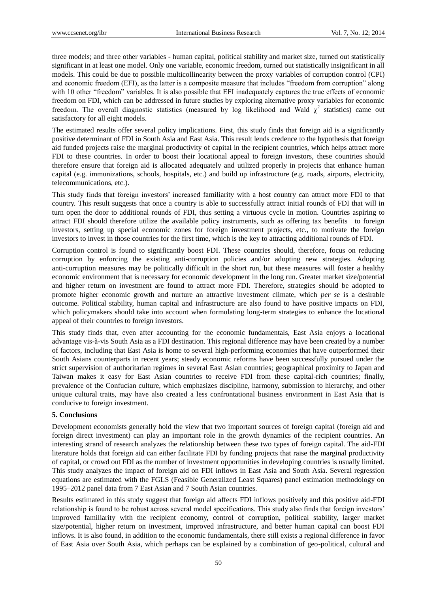three models; and three other variables - human capital, political stability and market size, turned out statistically significant in at least one model. Only one variable, economic freedom, turned out statistically insignificant in all models. This could be due to possible multicollinearity between the proxy variables of corruption control (CPI) and economic freedom (EFI), as the latter is a composite measure that includes "freedom from corruption" along with 10 other "freedom" variables. It is also possible that EFI inadequately captures the true effects of economic freedom on FDI, which can be addressed in future studies by exploring alternative proxy variables for economic freedom. The overall diagnostic statistics (measured by log likelihood and Wald  $\chi^2$  statistics) came out satisfactory for all eight models.

The estimated results offer several policy implications. First, this study finds that foreign aid is a significantly positive determinant of FDI in South Asia and East Asia. This result lends credence to the hypothesis that foreign aid funded projects raise the marginal productivity of capital in the recipient countries, which helps attract more FDI to these countries. In order to boost their locational appeal to foreign investors, these countries should therefore ensure that foreign aid is allocated adequately and utilized properly in projects that enhance human capital (e.g. immunizations, schools, hospitals, etc.) and build up infrastructure (e.g. roads, airports, electricity, telecommunications, etc.).

This study finds that foreign investors' increased familiarity with a host country can attract more FDI to that country. This result suggests that once a country is able to successfully attract initial rounds of FDI that will in turn open the door to additional rounds of FDI, thus setting a virtuous cycle in motion. Countries aspiring to attract FDI should therefore utilize the available policy instruments, such as offering tax benefits to foreign investors, setting up special economic zones for foreign investment projects, etc., to motivate the foreign investors to invest in those countries for the first time, which is the key to attracting additional rounds of FDI.

Corruption control is found to significantly boost FDI. These countries should, therefore, focus on reducing corruption by enforcing the existing anti-corruption policies and/or adopting new strategies. Adopting anti-corruption measures may be politically difficult in the short run, but these measures will foster a healthy economic environment that is necessary for economic development in the long run. Greater market size/potential and higher return on investment are found to attract more FDI. Therefore, strategies should be adopted to promote higher economic growth and nurture an attractive investment climate, which *per se* is a desirable outcome. Political stability, human capital and infrastructure are also found to have positive impacts on FDI, which policymakers should take into account when formulating long-term strategies to enhance the locational appeal of their countries to foreign investors.

This study finds that, even after accounting for the economic fundamentals, East Asia enjoys a locational advantage vis-à-vis South Asia as a FDI destination. This regional difference may have been created by a number of factors, including that East Asia is home to several high-performing economies that have outperformed their South Asians counterparts in recent years; steady economic reforms have been successfully pursued under the strict supervision of authoritarian regimes in several East Asian countries; geographical proximity to Japan and Taiwan makes it easy for East Asian countries to receive FDI from these capital-rich countries; finally, prevalence of the Confucian culture, which emphasizes discipline, harmony, submission to hierarchy, and other unique cultural traits, may have also created a less confrontational business environment in East Asia that is conducive to foreign investment.

#### **5. Conclusions**

Development economists generally hold the view that two important sources of foreign capital (foreign aid and foreign direct investment) can play an important role in the growth dynamics of the recipient countries. An interesting strand of research analyzes the relationship between these two types of foreign capital. The aid-FDI literature holds that foreign aid can either facilitate FDI by funding projects that raise the marginal productivity of capital, or crowd out FDI as the number of investment opportunities in developing countries is usually limited. This study analyzes the impact of foreign aid on FDI inflows in East Asia and South Asia. Several regression equations are estimated with the FGLS (Feasible Generalized Least Squares) panel estimation methodology on 1995–2012 panel data from 7 East Asian and 7 South Asian countries.

Results estimated in this study suggest that foreign aid affects FDI inflows positively and this positive aid-FDI relationship is found to be robust across several model specifications. This study also finds that foreign investors' improved familiarity with the recipient economy, control of corruption, political stability, larger market size/potential, higher return on investment, improved infrastructure, and better human capital can boost FDI inflows. It is also found, in addition to the economic fundamentals, there still exists a regional difference in favor of East Asia over South Asia, which perhaps can be explained by a combination of geo-political, cultural and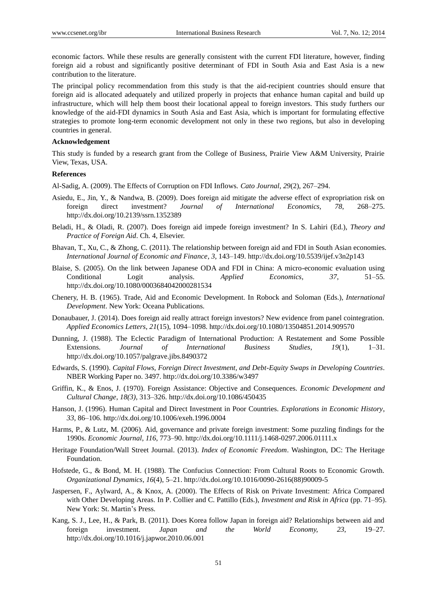economic factors. While these results are generally consistent with the current FDI literature, however, finding foreign aid a robust and significantly positive determinant of FDI in South Asia and East Asia is a new contribution to the literature.

The principal policy recommendation from this study is that the aid-recipient countries should ensure that foreign aid is allocated adequately and utilized properly in projects that enhance human capital and build up infrastructure, which will help them boost their locational appeal to foreign investors. This study furthers our knowledge of the aid-FDI dynamics in South Asia and East Asia, which is important for formulating effective strategies to promote long-term economic development not only in these two regions, but also in developing countries in general.

#### **Acknowledgement**

This study is funded by a research grant from the College of Business, Prairie View A&M University, Prairie View, Texas, USA.

### **References**

Al-Sadig, A. (2009). The Effects of Corruption on FDI Inflows. *Cato Journal*, *29*(2), 267–294.

- Asiedu, E., Jin, Y., & Nandwa, B. (2009). Does foreign aid mitigate the adverse effect of expropriation risk on foreign direct investment? *Journal of International Economics, 78*, 268–275. http://dx.doi.org/10.2139/ssrn.1352389
- Beladi, H., & Oladi, R. (2007). Does foreign aid impede foreign investment? In S. Lahiri (Ed.), *Theory and Practice of Foreign Aid*. Ch. 4, Elsevier.
- Bhavan, T., Xu, C., & Zhong, C. (2011). The relationship between foreign aid and FDI in South Asian economies. *International Journal of Economic and Finance*, *3*, 143–149. http://dx.doi.org/10.5539/ijef.v3n2p143
- Blaise, S. (2005). On the link between Japanese ODA and FDI in China: A micro-economic evaluation using Conditional Logit analysis. *Applied Economics*, *37*, 51–55. http://dx.doi.org/10.1080/0003684042000281534
- Chenery, H. B. (1965). Trade, Aid and Economic Development. In Robock and Soloman (Eds.), *International Development*. New York: Oceana Publications.
- Donaubauer, J. (2014). Does foreign aid really attract foreign investors? New evidence from panel cointegration. *Applied Economics Letters*, *21*(15), 1094–1098. http://dx.doi.org/10.1080/13504851.2014.909570
- Dunning, J. (1988). The Eclectic Paradigm of International Production: A Restatement and Some Possible Extensions. *Journal of International Business Studies*, *19*(1), 1–31. http://dx.doi.org/10.1057/palgrave.jibs.8490372
- Edwards, S. (1990). *Capital Flows, Foreign Direct Investment, and Debt-Equity Swaps in Developing Countries*. NBER Working Paper no. 3497. http://dx.doi.org/10.3386/w3497
- Griffin, K., & Enos, J. (1970). Foreign Assistance: Objective and Consequences. *Economic Development and Cultural Change*, *18(3)*, 313–326. http://dx.doi.org/10.1086/450435
- Hanson, J. (1996). Human Capital and Direct Investment in Poor Countries. *Explorations in Economic History*, *33*, 86–106. http://dx.doi.org/10.1006/exeh.1996.0004
- Harms, P., & Lutz, M. (2006). Aid, governance and private foreign investment: Some puzzling findings for the 1990s. *Economic Journal*, *116*, 773–90. http://dx.doi.org/10.1111/j.1468-0297.2006.01111.x
- Heritage Foundation/Wall Street Journal. (2013). *Index of Economic Freedom*. Washington, DC: The Heritage Foundation.
- Hofstede, G., & Bond, M. H. (1988). The Confucius Connection: From Cultural Roots to Economic Growth. *Organizational Dynamics*, *16*(4), 5–21. http://dx.doi.org/10.1016/0090-2616(88)90009-5
- Jaspersen, F., Aylward, A., & Knox, A. (2000). The Effects of Risk on Private Investment: Africa Compared with Other Developing Areas. In P. Collier and C. Pattillo (Eds.), *Investment and Risk in Africa* (pp. 71–95). New York: St. Martin's Press.
- Kang, S. J., Lee, H., & Park, B. (2011). Does Korea follow Japan in foreign aid? Relationships between aid and foreign investment. *Japan and the World Economy, 23*, 19–27. http://dx.doi.org/10.1016/j.japwor.2010.06.001